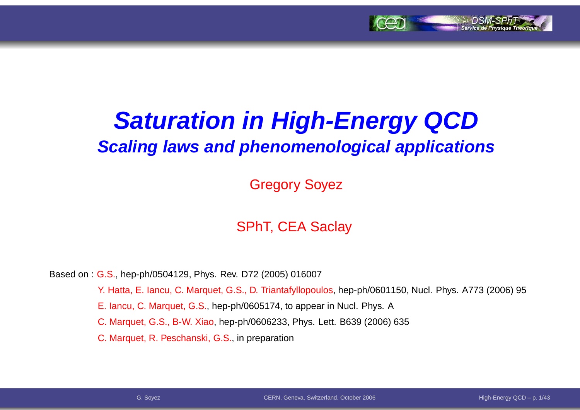

# **Saturation in High-Energy QCDScaling laws and phenomenological applications**

Gregory Soyez

#### SPhT, CEA Saclay

Based on : G.S., hep-ph/0504129, Phys. Rev. D72 (2005) 016007

Y. Hatta, E. Iancu, C. Marquet, G.S., D. Triantafyllopoulos, hep-ph/0601150, Nucl. Phys. A773 (2006) 95

E. Iancu, C. Marquet, G.S., hep-ph/0605174, to appear in Nucl. Phys. A

C. Marquet, G.S., B-W. Xiao, hep-ph/0606233, Phys. Lett. B639 (2006) 635

C. Marquet, R. Peschanski, G.S., in preparation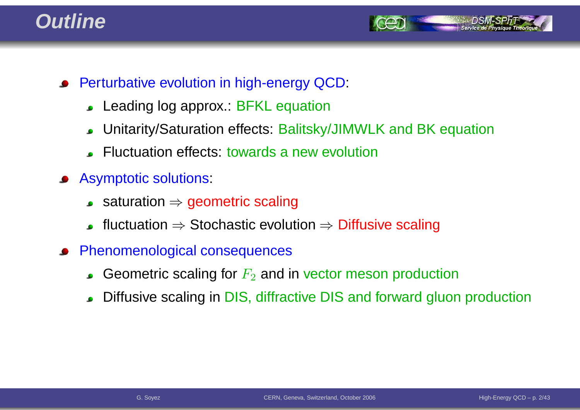### **Outline**



- **•** Perturbative evolution in high-energy QCD:
	- Leading log approx.: BFKL equation
	- Unitarity/Saturation effects: Balitsky/JIMWLK and BK equation $\bullet$
	- Fluctuation effects: towards <sup>a</sup> new evolution
- Asymptotic solutions:
	- saturation <sup>⇒</sup> geometric scaling
	- fluctuation  $\Rightarrow$  Stochastic evolution  $\Rightarrow$  Diffusive scaling
- Phenomenological consequences
	- Geometric scaling for  $F_2$  and in vector meson production
	- Diffusive scaling in DIS, diffractive DIS and forward gluon production  $\bullet$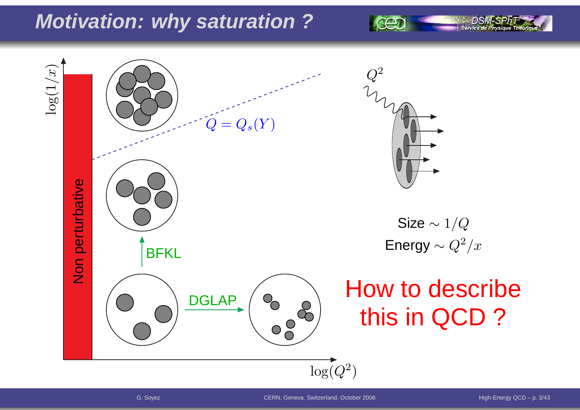### **Motivation: why saturation ?**

 $\log(1/x)$ 2 $\,Q\,$  $=Q_s(Y)$  $\pmb Q$ Non perturbative Size  $\sim 1/Q$ Energy  $\sim Q^2/x$ **BFKL** How to describe**DGLAP**  $\begin{pmatrix} 8 & 8 \\ 0 & 8 \end{pmatrix}$ this in QCD ? $\log(Q^2$  $^{2})$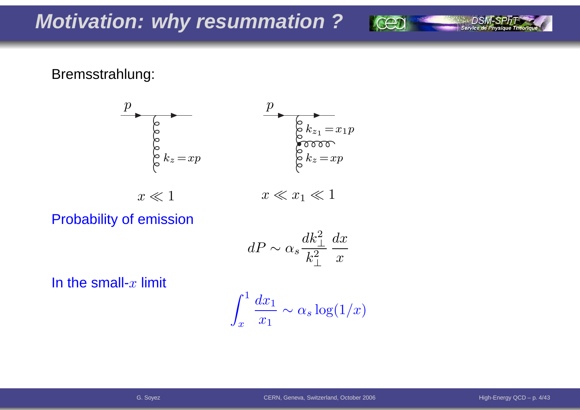#### Bremsstrahlung:



Probability of emission

$$
dP \sim \alpha_s \frac{dk_\perp^2}{k_\perp^2} \frac{dx}{x}
$$

In the small- $x$  limit

$$
\int_x^1 \frac{dx_1}{x_1} \sim \alpha_s \log(1/x)
$$

Service de Physio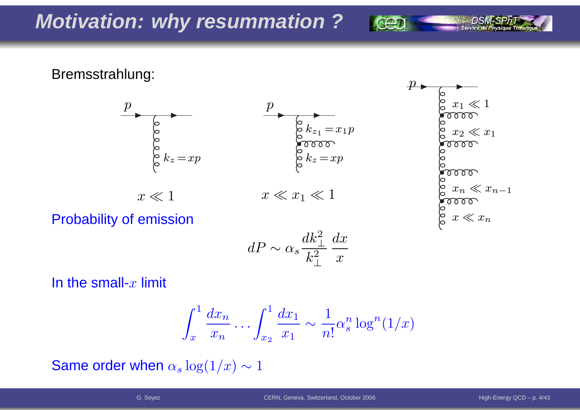Bremsstrahlung:





Probability of emission

$$
dP \sim \alpha_s \frac{dk_\perp^2}{k_\perp^2} \frac{dx}{x}
$$

In the small- $x$  limit

$$
\int_x^1 \frac{dx_n}{x_n} \dots \int_{x_2}^1 \frac{dx_1}{x_1} \sim \frac{1}{n!} \alpha_s^n \log^n(1/x)
$$

Same order when  $\alpha_s \log(1/x) \sim 1$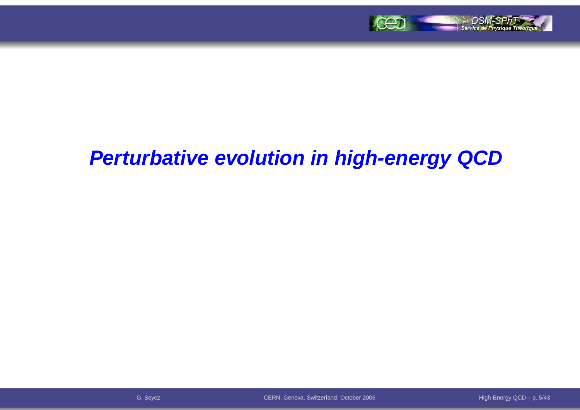

### **Perturbative evolution in high-energy QCD**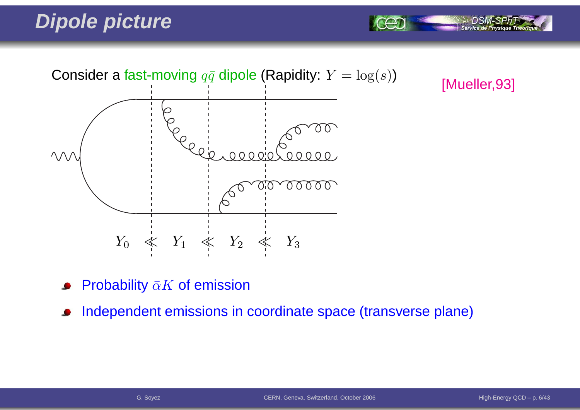## **Dipole picture**



[Mueller,93]

Service de Phy

- Probability  $\bar{\alpha}K$  of emission
- Independent emissions in coordinate space (transverse plane) $\bullet$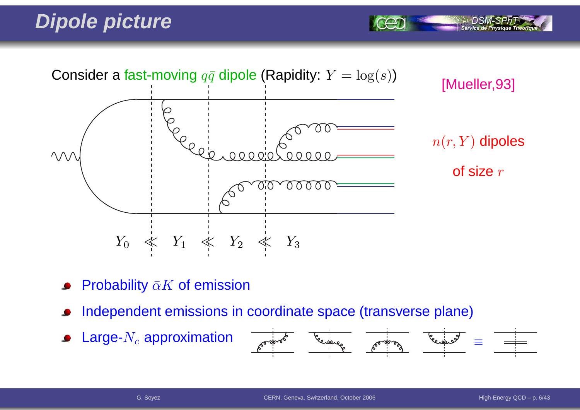## **Dipole picture**



- Probability  $\bar{\alpha}K$  of emission
- Independent emissions in coordinate space (transverse plane)
- Large- $N_c$  approximation  $\bullet$



Service de Physi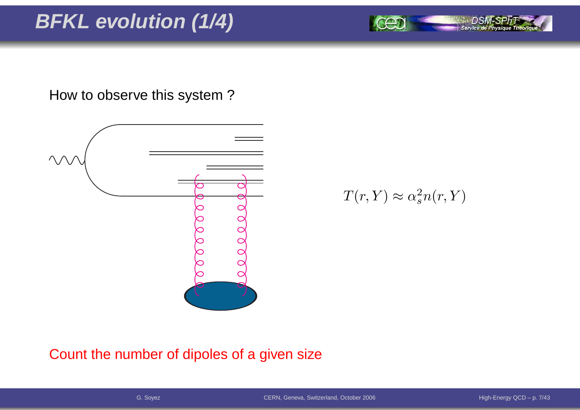# **BFKL evolution (1/4)**

How to observe this system ?



 $T(r,Y)\approx\alpha_s^2$  $\frac{2}{s}n(r,Y)$ 

#### Count the number of dipoles of <sup>a</sup> given size

Service de Physique Théoriq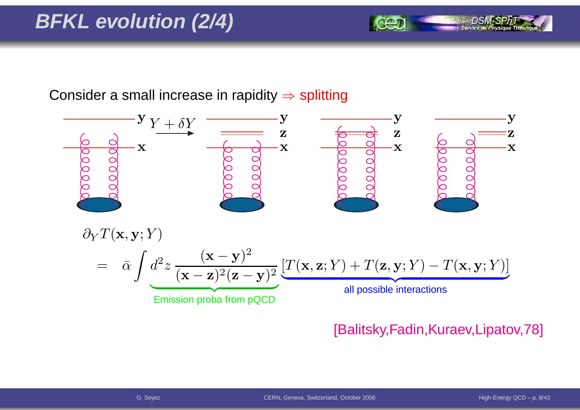# **BFKL evolution (2/4)**

Consider a small increase in rapidity  $\Rightarrow$  splitting



#### [Balitsky,Fadin,Kuraev,Lipatov,78]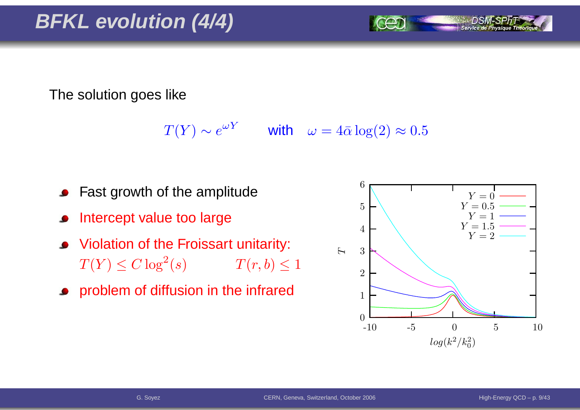The solution goes like

 $T(Y) \sim e^{\omega Y}$  with  $\omega = 4\bar{\alpha} \log(2) \approx 0.5$ 

- Fast growth of the amplitude
- Intercept value too large
- Violation of the Froissart unitarity:  $T(Y) \leq C \log^2$  $T(r, b) \leq 1$
- **•** problem of diffusion in the infrared

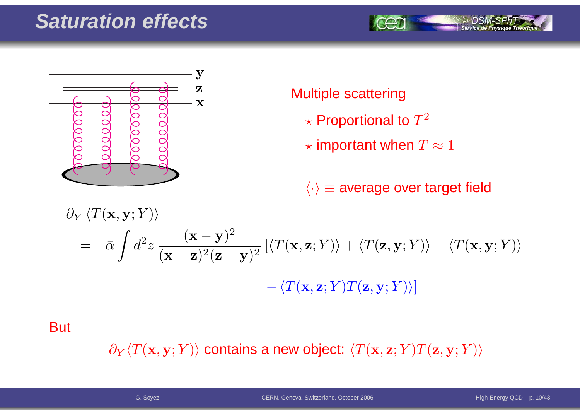### **Saturation effects**





#### Multiple scattering

- $\star$  Proportional to  $T^2$
- $\star$  important when  $T\approx 1$

 $\langle \cdot \rangle$   $\equiv$  average over target field

$$
\partial_Y \langle T(\mathbf{x}, \mathbf{y}; Y) \rangle
$$
  
=  $\bar{\alpha} \int d^2 z \frac{(\mathbf{x} - \mathbf{y})^2}{(\mathbf{x} - \mathbf{z})^2 (\mathbf{z} - \mathbf{y})^2} \left[ \langle T(\mathbf{x}, \mathbf{z}; Y) \rangle + \langle T(\mathbf{z}, \mathbf{y}; Y) \rangle - \langle T(\mathbf{x}, \mathbf{y}; Y) \rangle \right]$   
-  $\langle T(\mathbf{x}, \mathbf{z}; Y) T(\mathbf{z}, \mathbf{y}; Y) \rangle$ 

**But** 

 $\partial_Y \langle T(\mathbf{x},\mathbf{y}; Y) \rangle$  contains a new object:  $\langle T(\mathbf{x},\mathbf{z}; Y) T(\mathbf{z},\mathbf{y}; Y) \rangle$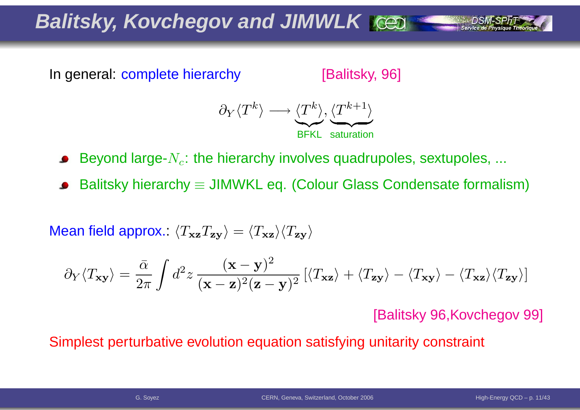**Balitsky, Kovchegov and JIMWLK**

In general: complete hierarchy

[Balitsky, 96]



Beyond large- $N_c$ : the hierarchy involves quadrupoles, sextupoles, ...

Balitsky hierarchy  $\equiv$  JIMWKL eq. (Colour Glass Condensate formalism)

Mean field approx.:  $\langle T_{\bf xz}T_{\bf zy}\rangle=\langle T_{\bf xz}\rangle\langle T_{\bf zy}\rangle$ 

$$
\partial_Y \langle T_{\mathbf{x} \mathbf{y}} \rangle = \frac{\bar{\alpha}}{2\pi} \int d^2 z \, \frac{(\mathbf{x} - \mathbf{y})^2}{(\mathbf{x} - \mathbf{z})^2 (\mathbf{z} - \mathbf{y})^2} \left[ \langle T_{\mathbf{x} \mathbf{z}} \rangle + \langle T_{\mathbf{z} \mathbf{y}} \rangle - \langle T_{\mathbf{x} \mathbf{z}} \rangle \langle T_{\mathbf{z} \mathbf{y}} \rangle \right]
$$

[Balitsky 96,Kovchegov 99]

Simplest perturbative evolution equation satisfying unitarity constraint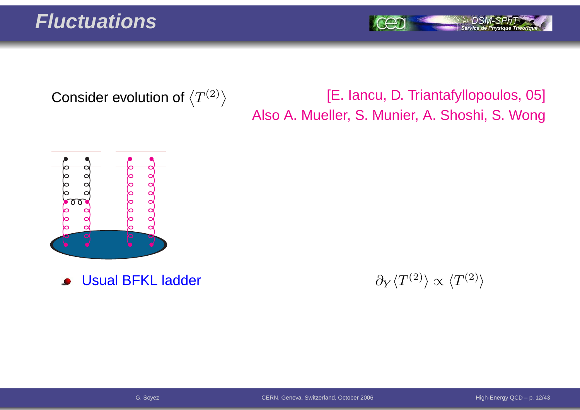#### **Fluctuations**

Service de Physique Théori

Consider evolution of  $\left\langle T^{(2)}\right\rangle$ 

#### [E. Iancu, D. Triantafyllopoulos, 05] Also A. Mueller, S. Munier, A. Shoshi, S. Wong



Usual BFKL ladder $\bullet$ 

r and  $\partial_Y$  $\partial_Y \langle T^{(2)} \rangle \propto \langle T^{(2)} \rangle$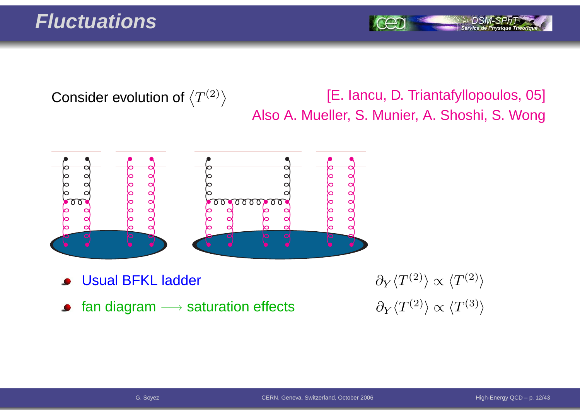### **Fluctuations**

Consider evolution of  $\left\langle T^{(2)}\right\rangle$ 

[E. Iancu, D. Triantafyllopoulos, 05] Also A. Mueller, S. Munier, A. Shoshi, S. Wong



- Usual BFKL ladder
- fan diagram  $\longrightarrow$  saturation effects  $\qquad \qquad \partial_Y \langle T^{(2)} \rangle \propto \langle T^{(3)} \rangle$  $\bullet$

r and  $\partial_Y$  $\partial_Y \langle T^{(2)} \rangle \propto \langle T^{(2)} \rangle$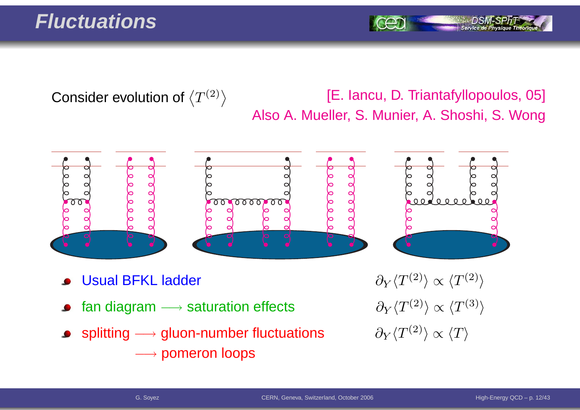### **Fluctuations**

Consider evolution of  $\left\langle T^{(2)}\right\rangle$ 

#### [E. Iancu, D. Triantafyllopoulos, 05] Also A. Mueller, S. Munier, A. Shoshi, S. Wong



- Usual BFKL ladder
- fan diagram  $\longrightarrow$
- splitting  $\longrightarrow$  $\rightarrow$  gluon-number fluctuations  $\qquad \partial_Y \langle T^{(2)} \rangle \propto \langle T \rangle$ −→ pomeron loops

r  $\partial_Y$  $\partial_Y \langle T^{(2)} \rangle \propto \langle T^{(2)} \rangle$  $\partial_Y \langle T^{(2)} \rangle \propto \langle T^{(3)} \rangle$ <br> $\partial_Y \langle T^{(2)} \rangle \propto \langle T \rangle$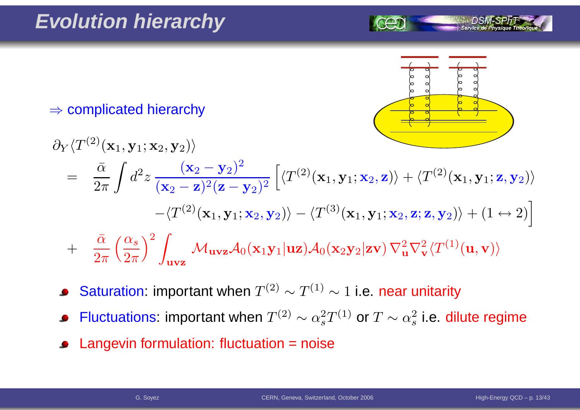

 $\Rightarrow$  complicated hierarchy

$$
\partial_Y \langle T^{(2)}(\mathbf{x}_1, \mathbf{y}_1; \mathbf{x}_2, \mathbf{y}_2) \rangle
$$
\n
$$
= \frac{\bar{\alpha}}{2\pi} \int d^2 z \frac{(\mathbf{x}_2 - \mathbf{y}_2)^2}{(\mathbf{x}_2 - \mathbf{z})^2 (\mathbf{z} - \mathbf{y}_2)^2} \left[ \langle T^{(2)}(\mathbf{x}_1, \mathbf{y}_1; \mathbf{x}_2, \mathbf{z}) \rangle + \langle T^{(2)}(\mathbf{x}_1, \mathbf{y}_1; \mathbf{z}, \mathbf{y}_2) \rangle \right.
$$
\n
$$
- \langle T^{(2)}(\mathbf{x}_1, \mathbf{y}_1; \mathbf{x}_2, \mathbf{y}_2) \rangle - \langle T^{(3)}(\mathbf{x}_1, \mathbf{y}_1; \mathbf{x}_2, \mathbf{z}; \mathbf{z}, \mathbf{y}_2) \rangle + (1 \leftrightarrow 2) \right]
$$
\n
$$
+ \frac{\bar{\alpha}}{2\pi} \left( \frac{\alpha_s}{2\pi} \right)^2 \int_{\mathbf{u} \mathbf{v} \mathbf{z}} \mathcal{M}_{\mathbf{u} \mathbf{v} \mathbf{z}} \mathcal{A}_0(\mathbf{x}_1 \mathbf{y}_1 | \mathbf{u} \mathbf{z}) \mathcal{A}_0(\mathbf{x}_2 \mathbf{y}_2 | \mathbf{z} \mathbf{v}) \nabla_{\mathbf{u}}^2 \nabla_{\mathbf{v}}^2 \langle T^{(1)}(\mathbf{u}, \mathbf{v}) \rangle
$$

- Saturation: important when  $T^{(2)}\sim T^{(1)}\sim 1$  i.e. near unitarity  $\bullet$
- Fluctuations: important when  $T^{(2)}\sim \alpha_s^2$  $_{s}^{2}T^{(1)}$  or  $T\sim\alpha_{s}^{2}$  $\frac{2}{s}$  i.e. dilute regime
- Langevin formulation: fluctuation <sup>=</sup> noise $\bullet$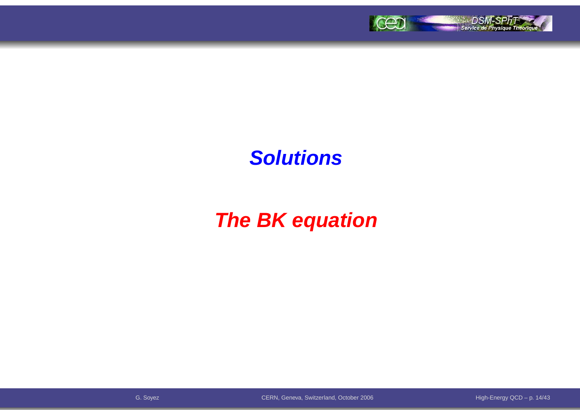

### **Solutions**

# **The BK equation**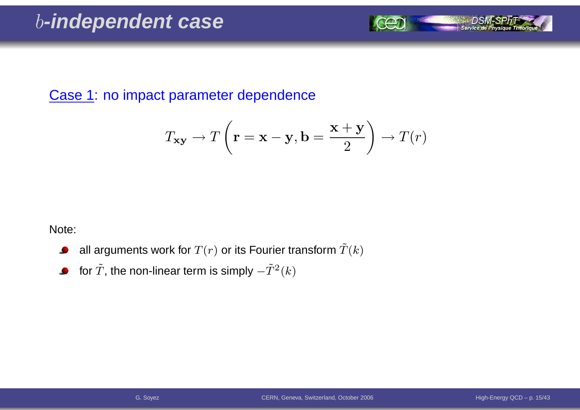Case 1: no impact parameter dependence

$$
T_{\mathbf{xy}} \to T\left(\mathbf{r} = \mathbf{x} - \mathbf{y}, \mathbf{b} = \frac{\mathbf{x} + \mathbf{y}}{2}\right) \to T(r)
$$

Note:

- all arguments work for  $T(r)$  or its Fourier transform  $\tilde T(k)$  $\bullet$
- for  $\tilde{T}$ , the non-linear term is simply  $-\tilde{T}^{2}(k)$  $\bullet$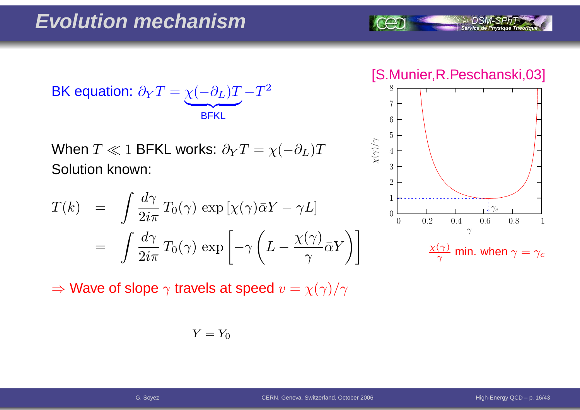$$
\text{BK equation: } \partial_Y T = \underbrace{\chi(-\partial_L)T}_{\text{BFKL}} - T^2
$$

When  $T\ll 1$  BFKL works:  $\partial_{Y}T=\chi($  Solution known:  $-\partial_L)T$ 

$$
T(k) = \int \frac{d\gamma}{2i\pi} T_0(\gamma) \exp\left[\chi(\gamma)\bar{\alpha}Y - \gamma L\right]
$$
  
= 
$$
\int \frac{d\gamma}{2i\pi} T_0(\gamma) \exp\left[-\gamma \left(L - \frac{\chi(\gamma)}{\gamma} \bar{\alpha}Y\right)\right]
$$

 $\Rightarrow$  Wave of slope  $\gamma$  travels at speed  $v=\chi(\gamma)/\gamma$ 

$$
Y = Y_0
$$

[S.Munier,R.Peschanski,03]

Service de Physique Théoriq

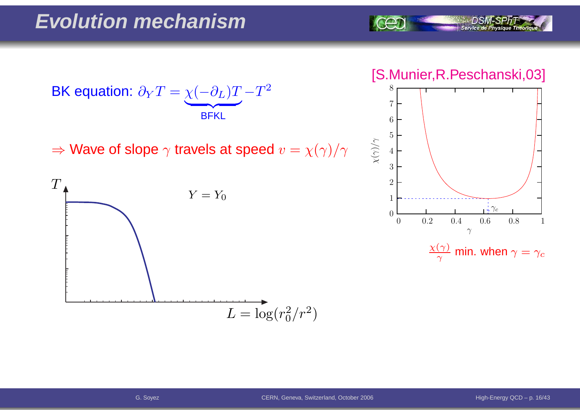





 $\frac{\chi(\gamma)}{\gamma}$  min. when  $\gamma=\gamma_c$ 



 $\Rightarrow$  Wave of slope  $\gamma$  travels at speed  $v=\chi(\gamma)/\gamma$ 

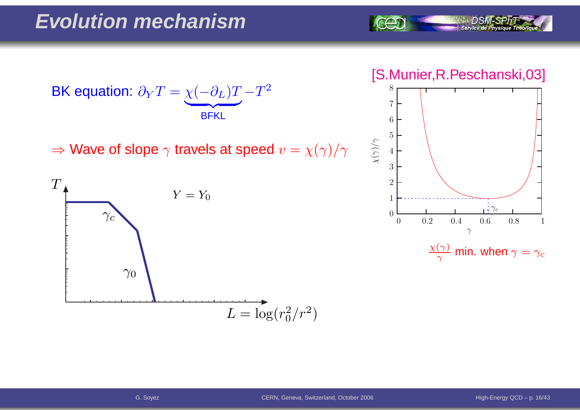

#### [S.Munier,R.Peschanski,03]



 $\frac{\chi(\gamma)}{\gamma}$  min. when  $\gamma=\gamma_c$ 



 $\Rightarrow$  Wave of slope  $\gamma$  travels at speed  $v=\chi(\gamma)/\gamma$ 

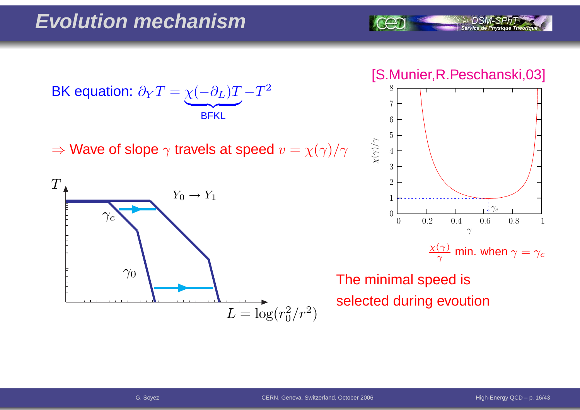BK equation:  $\partial$  $\,$  $\bm{T}$ = $\chi$  $\left($  $\partial$ L)  $\bm{T}$  $\overline{\phantom{a}}$  BFKL− $\bm{T}$ 2

 $\Rightarrow$  Wave of slope  $\gamma$  travels at speed  $v=\chi(\gamma)/\gamma$ 



[S.Munier,R.Peschanski,03]

Service de Physique Théoria



 $\frac{\chi(\gamma)}{\gamma}$  min. when  $\gamma=\gamma_c$ 

The minimal speed isselected during evoution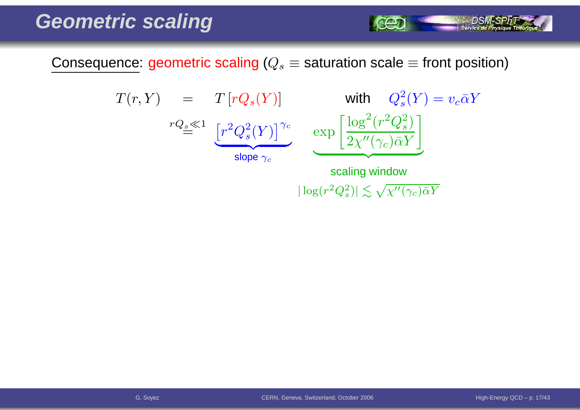Consequence: geometric scaling ( $Q_s\equiv$  saturation scale  $\equiv$  front position)

$$
T(r, Y) = T[rQ_s(Y)] \text{ with } Q_s^2(Y) = v_c \bar{\alpha}Y
$$
  

$$
rQ_s \ll 1 \underbrace{[r^2Q_s^2(Y)]^{\gamma_c}}_{\text{slope } \gamma_c} \underbrace{\exp \left[\frac{\log^2(r^2Q_s^2)}{2\chi''(\gamma_c)\bar{\alpha}Y}\right]}_{\text{scaling window}}
$$

 $|\log(r^2Q_s^2)| \lesssim \sqrt{\chi''(\gamma_c)\bar{\alpha}Y}$ 

 $\sim$  DSM-SPhT  $\sim$  service de Physique Theorique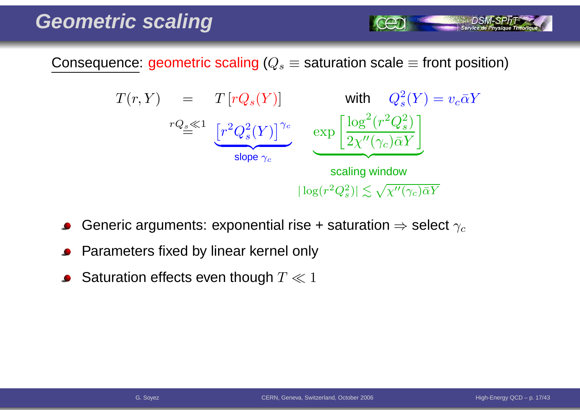Consequence: geometric scaling ( $Q_s\equiv$  saturation scale  $\equiv$  front position)



- Generic arguments: exponential rise + saturation  $\Rightarrow$  select  $\gamma_c$
- Parameters fixed by linear kernel only
- Saturation effects even though  $T \ll 1$

Service de Ph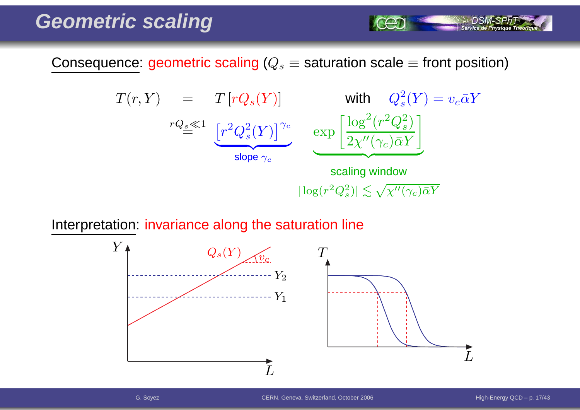Consequence: geometric scaling ( $Q_s\equiv$  saturation scale  $\equiv$  front position)

$$
T(r, Y) = T[rQ_s(Y)] \text{ with } Q_s^2(Y) = v_c \bar{\alpha}Y
$$
  
\n
$$
rQ_s \ll 1 \underbrace{[r^2Q_s^2(Y)]^{\gamma_c}}_{\text{slope } \gamma_c} \underbrace{\exp\left[\frac{\log^2(r^2Q_s^2)}{2\chi''(\gamma_c)\bar{\alpha}Y}\right]}_{\text{scaling window}}
$$
  
\n
$$
|\log(r^2Q_s^2)| \lesssim \sqrt{\chi''(\gamma_c)\bar{\alpha}Y}
$$

Interpretation: invariance along the saturation line



Service de Physique Théoriq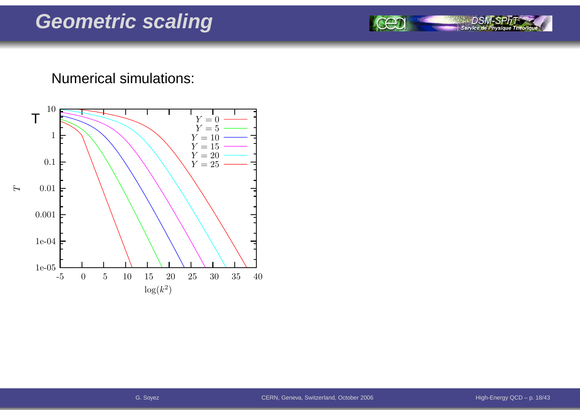#### Numerical simulations:



DSA

Service de Physique Théoriqu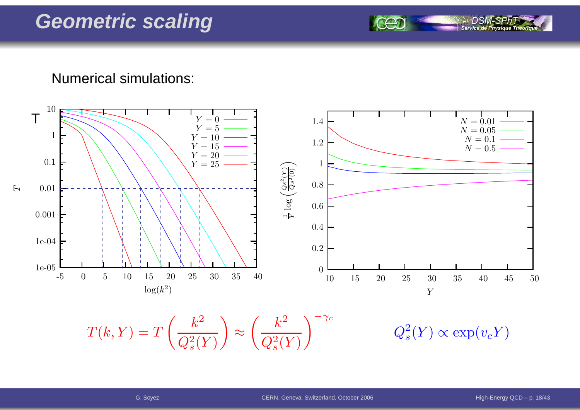Numerical simulations:



 $T(k, Y) = T\left(\frac{k^2}{Q_s^2(Y)}\right) \approx \left(\frac{k^2}{Q_s^2(Y)}\right)^{-\gamma_c} \qquad \qquad Q_s^2(Y) \propto \exp(v_c Y)$ 

Service de Pl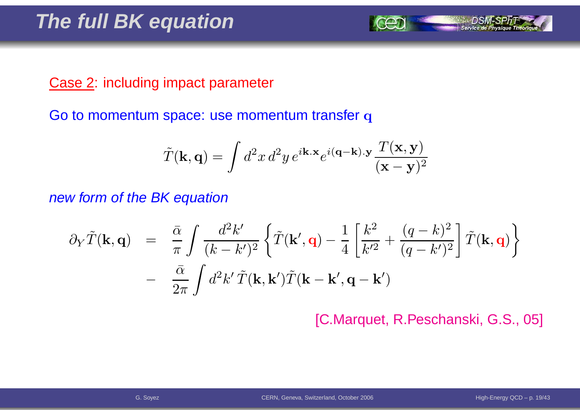#### Case 2: including impact parameter

Go to momentum space: use momentum transfer  ${\bf q}$ 

$$
\tilde{T}(\mathbf{k},\mathbf{q}) = \int d^2x \, d^2y \, e^{i\mathbf{k}.\mathbf{x}} e^{i(\mathbf{q}-\mathbf{k}).\mathbf{y}} \frac{T(\mathbf{x},\mathbf{y})}{(\mathbf{x}-\mathbf{y})^2}
$$

new form of the BK equation

$$
\partial_Y \tilde{T}(\mathbf{k}, \mathbf{q}) = \frac{\bar{\alpha}}{\pi} \int \frac{d^2 k'}{(k - k')^2} \left\{ \tilde{T}(\mathbf{k}', \mathbf{q}) - \frac{1}{4} \left[ \frac{k^2}{k'^2} + \frac{(q - k)^2}{(q - k')^2} \right] \tilde{T}(\mathbf{k}, \mathbf{q}) \right\} - \frac{\bar{\alpha}}{2\pi} \int d^2 k' \tilde{T}(\mathbf{k}, \mathbf{k}') \tilde{T}(\mathbf{k} - \mathbf{k}', \mathbf{q} - \mathbf{k}')
$$

[C.Marquet, R.Peschanski, G.S., 05]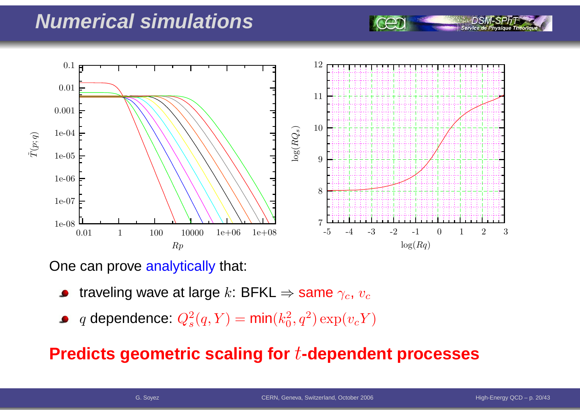### **Numerical simulations**



One can prove <mark>analytically</mark> that:

- traveling wave at large  $k$ : BFKL  $\Rightarrow$  same  $\gamma_c$ ,  $v_c$
- $q$  dependence:  $Q_s^2$  $s^2(q,Y) = \textsf{min}(k_0^2)$  $_0^2, q^2) \exp(v_c Y)$

#### **Predicts geometric scaling for**t**-dependent processes**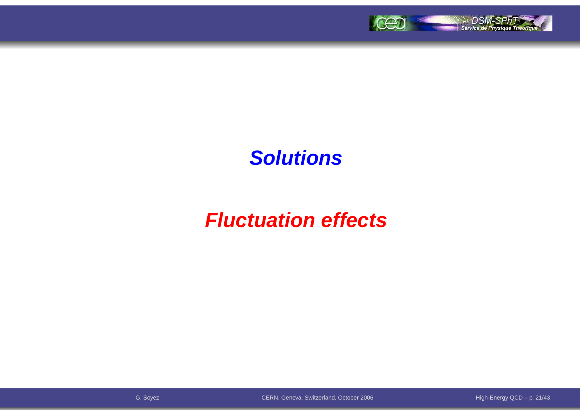

### **Solutions**

# **Fluctuation effects**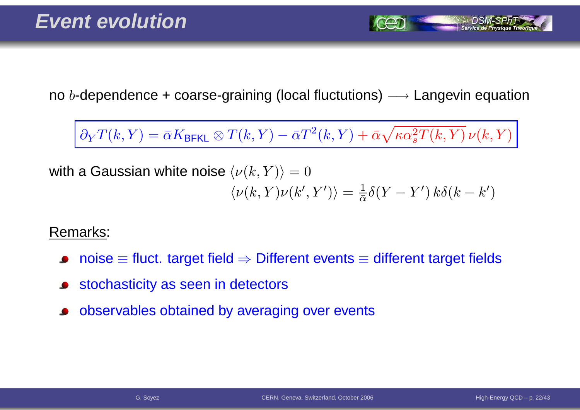no  $b$ -dependence + coarse-graining (local fluctutions)  $\longrightarrow$  Langevin equation

 $∂<sub>Y</sub>T(k,Y) = \bar{\alpha}K_{\text{BFKL}} ⊗ T(k,Y) - \bar{\alpha}T^{2}(k,Y) + \bar{\alpha}\sqrt{\kappa\alpha_{s}^{2}T(k,Y)}\,\nu(k,Y)$ 

with a Gaussian white noise  $\langle \nu(k,Y) \rangle = 0$  $\langle \nu(k,Y) \nu(k',Y') \rangle = \frac{1}{\bar{\alpha}} \delta(Y-Y') k \delta(k-k')$ 

Remarks:

- $\mathsf{noise} \equiv \mathsf{fluct}.$  target field  $\Rightarrow$  Different events  $\equiv$  different target fields
- stochasticity as seen in detectors
- observables obtained by averaging over events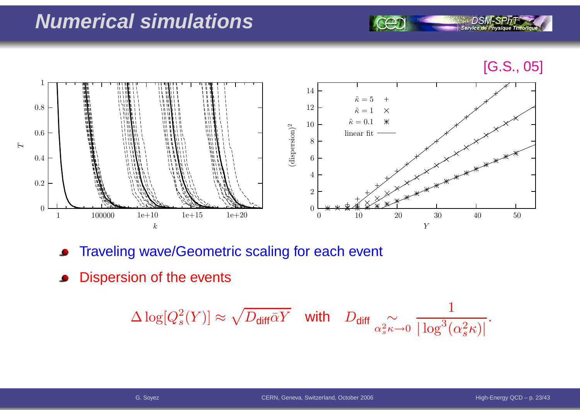### **Numerical simulations**

[G.S., 05]



- Traveling wave/Geometric scaling for each event  $\bullet$
- Dispersion of the events

$$
\Delta \log[Q_s^2(Y)] \approx \sqrt{D_{\text{diff}}\bar{\alpha}Y} \quad \text{with} \quad D_{\text{diff}} \underset{\alpha_s^2 \kappa \to 0}{\sim} \frac{1}{|\log^3(\alpha_s^2 \kappa)|}.
$$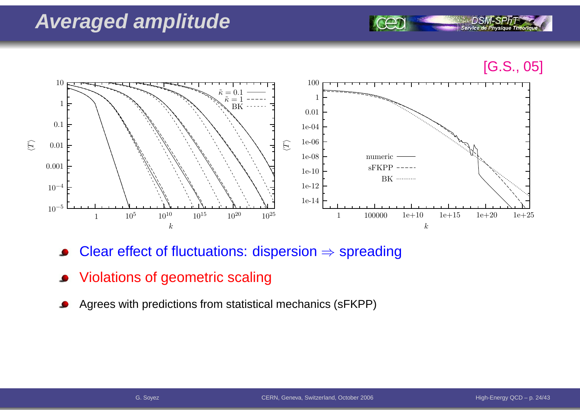### **Averaged amplitude**





- Clear effect of fluctuations: dispersion  $\Rightarrow$  spreading
- Violations of geometric scaling
- Agrees with predictions from statistical mechanics (sFKPP)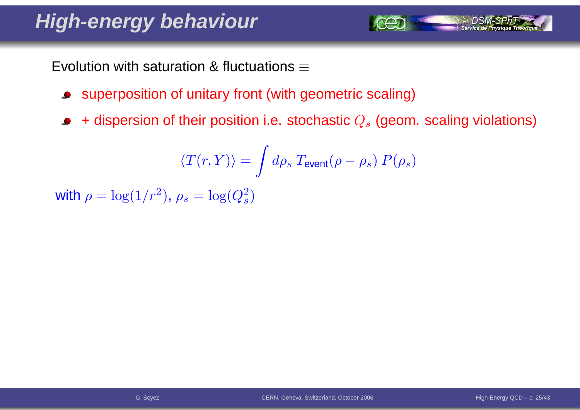# **High-energy behaviour**

Evolution with saturation & fluctuations  $\equiv$ 

- superposition of unitary front (with geometric scaling)
- + dispersion of their position i.e. stochastic  $Q_s$  (geom. scaling violations)  $\bullet$

$$
\langle T(r,Y) \rangle = \int d\rho_s \: T_{\rm event}(\rho-\rho_s) \: P(\rho_s)
$$

with  $\rho = \log(1/r^2)$  $^2$ ),  $\rho_s=\log(Q_s^2)$  $\left( \frac{2}{s}\right)$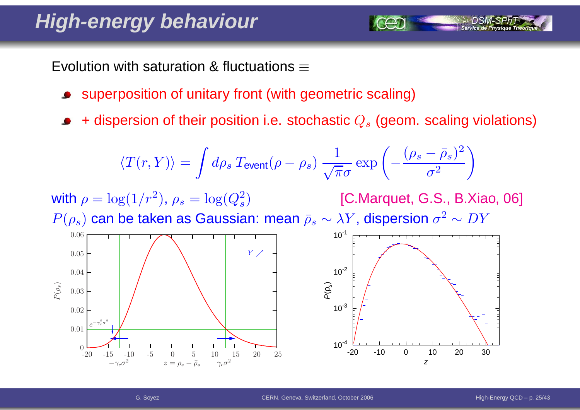# **High-energy behaviour**

Evolution with saturation & fluctuations  $\equiv$ 

- superposition of unitary front (with geometric scaling)
- + dispersion of their position i.e. stochastic  $Q_s$  (geom. scaling violations)

$$
\langle T(r,Y) \rangle = \int d\rho_s \, T_{\text{event}}(\rho - \rho_s) \, \frac{1}{\sqrt{\pi}\sigma} \exp\left(-\frac{(\rho_s - \bar{\rho}_s)^2}{\sigma^2}\right)
$$

with  $\rho = \log(1/r^2)$  $^2$ ),  $\rho_s=\log(Q_s^2)$  $P(\rho_s)$  can be taken as Gaussian: mean  $\bar \rho_s \sim \lambda Y$ , dispersion  $\sigma^2$  $\left( \frac{2}{s}\right)$  [C.Marquet, G.S., B.Xiao, 06]  $^2 \sim DY$ 



CERN, Geneva, Switzerland, October <sup>2006</sup>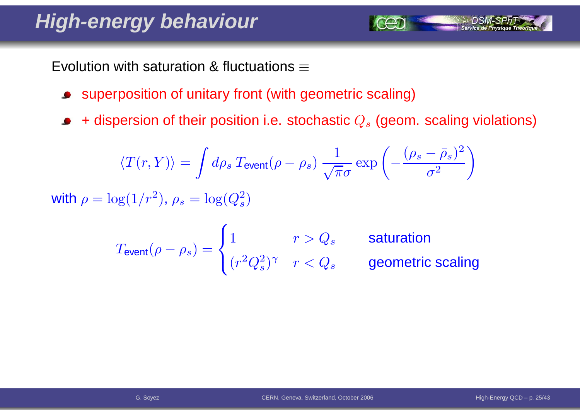# **High-energy behaviour**

Evolution with saturation & fluctuations  $\equiv$ 

- superposition of unitary front (with geometric scaling) $\bullet$
- + dispersion of their position i.e. stochastic  $Q_s$  (geom. scaling violations)  $\bullet$

$$
\langle T(r,Y)\rangle = \int d\rho_s \, T_{\text{event}}(\rho - \rho_s) \, \frac{1}{\sqrt{\pi}\sigma} \exp\left(-\frac{(\rho_s - \bar{\rho}_s)^2}{\sigma^2}\right)
$$
\nwith  $\rho = \log(1/r^2)$ ,  $\rho_s = \log(Q_s^2)$ 

$$
T_{\text{event}}(\rho - \rho_s) = \begin{cases} 1 & r > Q_s \\ (r^2 Q_s^2)^\gamma & r < Q_s \end{cases}
$$
 **saturation geometric scaling**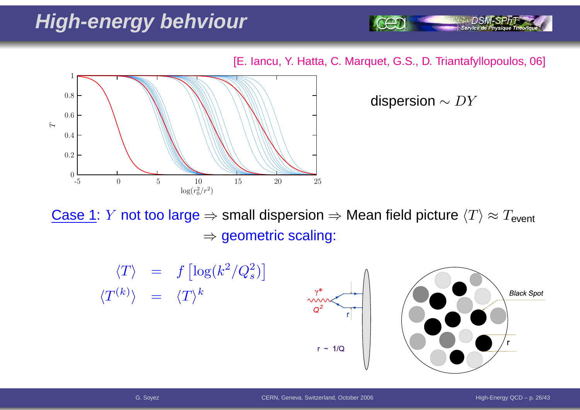# **High-energy behviour**

[E. Iancu, Y. Hatta, C. Marquet, G.S., D. Triantafyllopoulos, 06]



dispersion  $\sim DY$ 

Service de Physique Théoriq

<u>Case 1</u>: *Y* not too large ⇒ small dispersion ⇒ Mean field picture  $\langle T \rangle \approx T_{\sf event}$  $\Rightarrow$  geometric scaling:

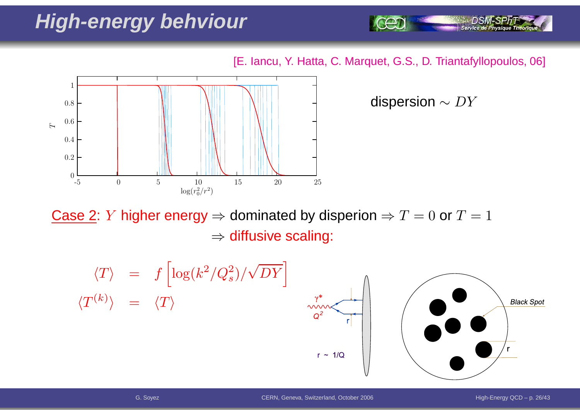# **High-energy behviour**

[E. Iancu, Y. Hatta, C. Marquet, G.S., D. Triantafyllopoulos, 06]



dispersion  $\sim DY$ 

Service de Physique Théoriq

Case 2: *Y* higher energy ⇒ dominated by disperion ⇒  $T = 0$  or  $T = 1$  $\Rightarrow$  diffusive scaling:

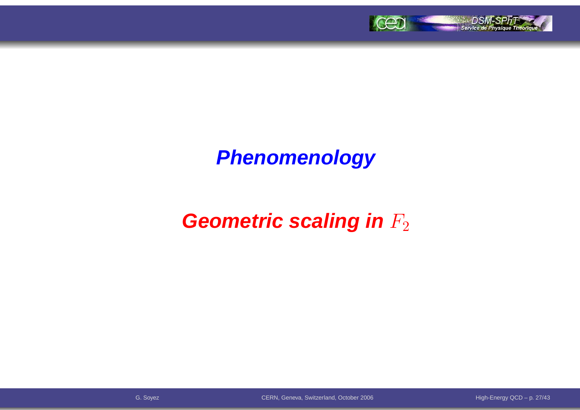

# **Phenomenology**

# **Geometric scaling in**  $F_2$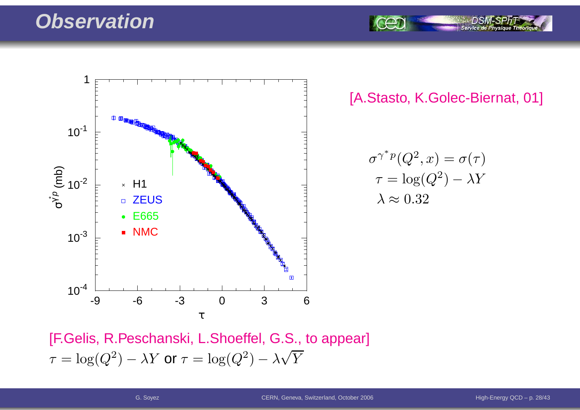#### **Observation**



[A.Stasto, K.Golec-Biernat, 01]

$$
\sigma^{\gamma^* p}(Q^2, x) = \sigma(\tau)
$$

$$
\tau = \log(Q^2) - \lambda Y
$$

$$
\lambda \approx 0.32
$$

[F.Gelis, R.Peschanski, L.Shoeffel, G.S., to appear]  $\tau$  $\tau = \log(Q^2) - \lambda Y$  or  $\tau = \log(Q^2) - \lambda \sqrt{Y}$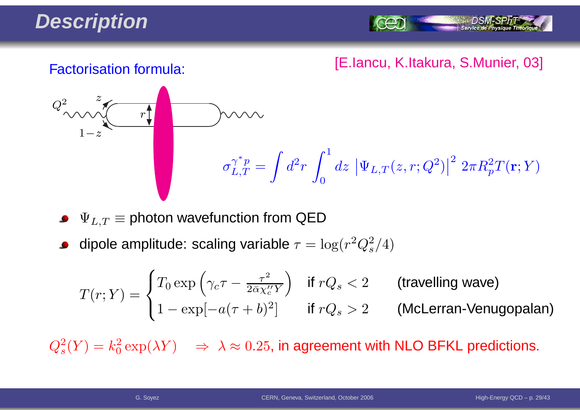# **Description**

Service de Ph

#### [E.Iancu, K.Itakura, S.Munier, 03] Factorisation formula:



 $\Psi_{L,T} \equiv$  photon wavefunction from QED

dipole amplitude: scaling variable  $\tau = \log(r^2 Q_s^2/4)$ 

$$
T(r;Y) = \begin{cases} T_0 \exp\left(\gamma_c \tau - \frac{\tau^2}{2\bar{\alpha}\chi_c''Y}\right) & \text{if } rQ_s < 2 \\ 1 - \exp[-a(\tau + b)^2] & \text{if } rQ_s > 2 \end{cases} \quad \text{(McLerran-Venugopalan)}
$$

 $Q_s^2(Y) = k_0^2 \exp(\lambda Y) \quad \Rightarrow \; \lambda \approx 0.25$ , in agreement with NLO BFKL predictions.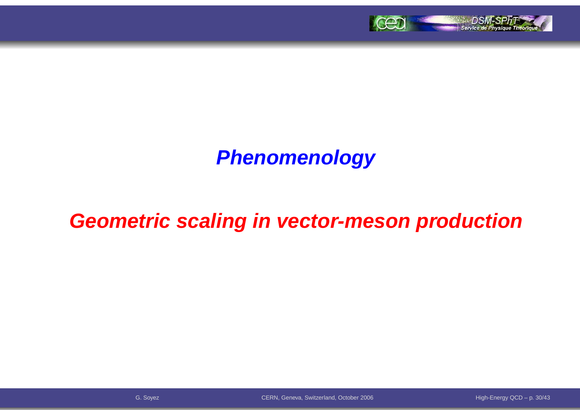

# **Phenomenology**

### **Geometric scaling in vector-meson production**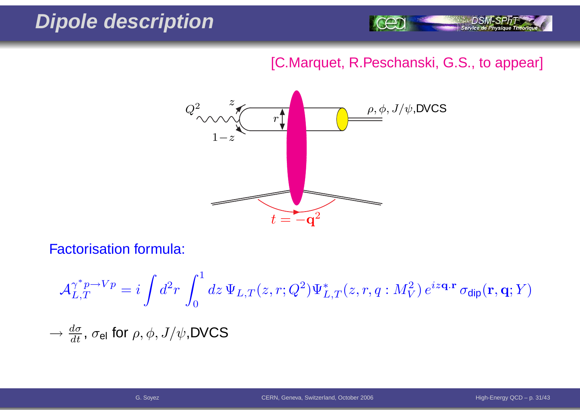### **Dipole description**



#### [C.Marquet, R.Peschanski, G.S., to appear]



Factorisation formula:

$$
\mathcal{A}_{L,T}^{\gamma^* p \to Vp} = i \int d^2 r \int_0^1 dz \, \Psi_{L,T}(z,r;Q^2) \Psi_{L,T}^*(z,r,q:M_V^2) \, e^{iz\mathbf{q} \cdot \mathbf{r}} \, \sigma_{\text{dip}}(\mathbf{r},\mathbf{q};Y)
$$
  

$$
\to \frac{d\sigma}{dt}, \, \sigma_{\text{el}} \text{ for } \rho, \phi, J/\psi, \text{DVCS}
$$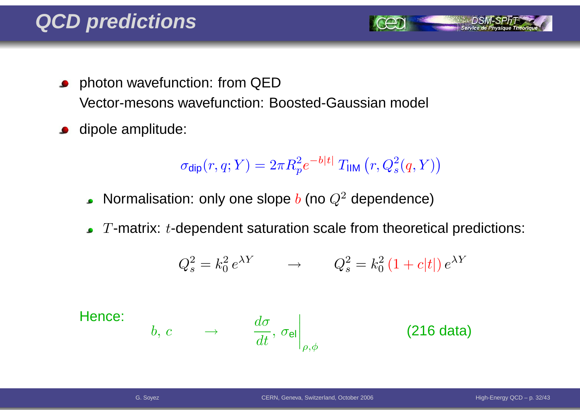- **•** photon wavefunction: from QED Vector-mesons wavefunction: Boosted-Gaussian model
- dipole amplitude:  $\bullet$

$$
\sigma_{\text{dip}}(r, q; Y) = 2\pi R_p^2 e^{-b|t|} T_{\text{HIM}}(r, Q_s^2(q, Y))
$$

- Normalisation: only one slope  $b$  (no  $Q^2$  dependence)
- $T$ -matrix:  $t$ -dependent saturation scale from theoretical predictions:

$$
Q_s^2 = k_0^2 e^{\lambda Y} \qquad \rightarrow \qquad Q_s^2 = k_0^2 \left(1 + c|t|\right) e^{\lambda Y}
$$

Hence:

$$
b, c \qquad \rightarrow \qquad \left. \frac{d\sigma}{dt}, \, \sigma_{\mathsf{el}} \right|_{\rho, \phi} \qquad \qquad \textbf{(216 data)}
$$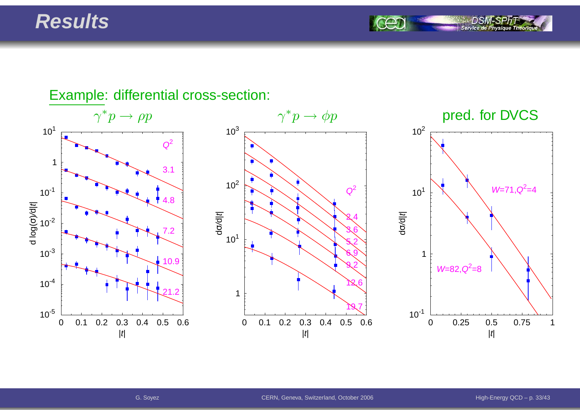#### **Results**

Service de Ph

#### Example: differential cross-section:  $\gamma^* p \to$  $\gamma^* p \to \phi p$  pred. for DVCS 0 0.1 0.2 0.3 0.4 0.5 0.6|t| $10^{-5}$  $10^{-4}$  $10^{-3}$  $10^{-2}$  $10^{-1}$ 1 $10<sup>1</sup>$ d log( σচি र<br>ए  $\begin{array}{|c|c|c|}\n\hline\n1 & 3.1 \\
\hline\n10^{-1} & 3.1 \\
\hline\n\end{array}$ 7.210.921.20 0.1 0.2 0.3 0.4 0.5 0.6|t|110<sup>1</sup>  $10^2$  $10^{3}$ dσ/d| t<sup>|</sup> $\begin{array}{c}\n0 \\
1 \\
2\n\end{array}$ 3.65.26.99.212.619.70 0.25 0.5 0.75 1 $|t|$  $10^{-1}$ 110<sup>1</sup>  $10^2$ dσ/d| t<sup>|</sup> $W=71, Q^2=4$  $W=82, Q^2=8$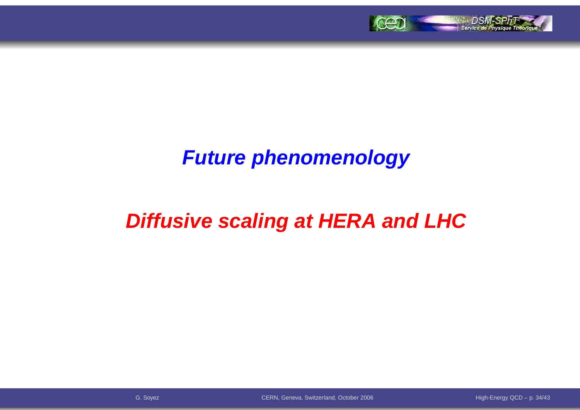

### **Future phenomenology**

# **Diffusive scaling at HERA and LHC**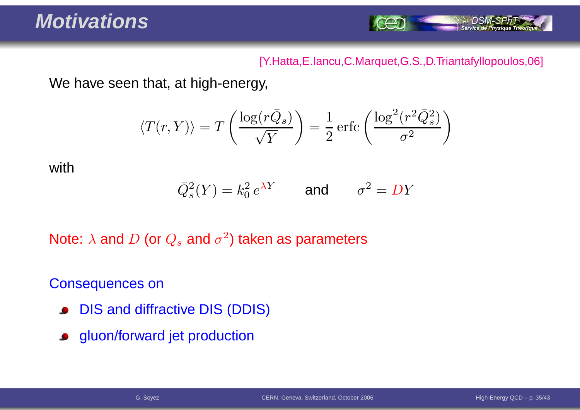

#### [Y.Hatta,E.Iancu,C.Marquet,G.S.,D.Triantafyllopoulos,06]

We have seen that, at high-energy,

$$
\langle T(r,Y) \rangle = T\left(\frac{\log(r\bar{Q}_s)}{\sqrt{Y}}\right) = \frac{1}{2} \operatorname{erfc}\left(\frac{\log^2(r^2 \bar{Q}_s^2)}{\sigma^2}\right)
$$

with

$$
\overline{Q}_s^2(Y) = k_0^2 e^{\lambda Y} \qquad \text{and} \qquad \sigma^2 = DY
$$

Note:  $\lambda$  and  $D$  (or  $Q_s$  and  $\sigma^2$ ) taken as parameters

Consequences on

- DIS and diffractive DIS (DDIS) $\bullet$
- gluon/forward jet production $\bullet$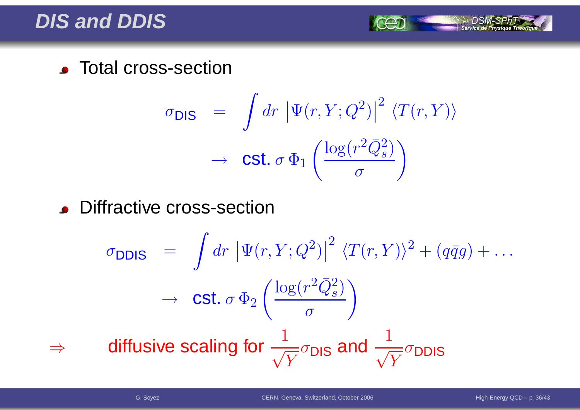#### **DIS and DDIS**

**C** Total cross-section

$$
\sigma_{\text{DIS}} = \int dr \, |\Psi(r, Y; Q^2)|^2 \, \langle T(r, Y) \rangle
$$

$$
\rightarrow \text{Cst. } \sigma \, \Phi_1 \left( \frac{\log(r^2 \bar{Q}_s^2)}{\sigma} \right)
$$

**.** Diffractive cross-section

$$
\sigma_{\text{DDIS}} = \int dr \left| \Psi(r, Y; Q^2) \right|^2 \langle T(r, Y) \rangle^2 + (q\bar{q}g) + \dots
$$
\n
$$
\rightarrow \text{Cst. } \sigma \Phi_2 \left( \frac{\log(r^2 \bar{Q}_s^2)}{\sigma} \right)
$$
\n
$$
\Rightarrow \text{diffusive scaling for } \frac{1}{\sqrt{Y}} \sigma_{\text{DIS}} \text{ and } \frac{1}{\sqrt{Y}} \sigma_{\text{DDIS}}
$$

⇒

Service de Physique Théoriq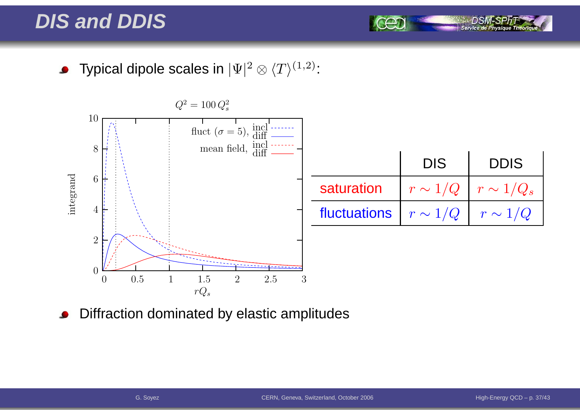### **DIS and DDIS**

Typical dipole scales in  $|\Psi|^2\otimes \langle T\rangle^{(1,2)}$ :  $\bullet$ 



Diffraction dominated by elastic amplitudes

Service de Ph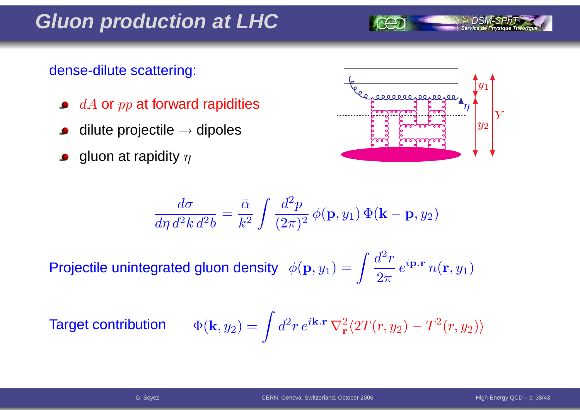### **Gluon production at LHC**

#### dense-dilute scattering:

- $dA$  or  $pp$  at forward rapidities
- dilute projectile  $\rightarrow$  dipoles
- gluon at rapidity  $\eta$



$$
\frac{d\sigma}{d\eta d^2k d^2b} = \frac{\bar{\alpha}}{k^2} \int \frac{d^2p}{(2\pi)^2} \phi(\mathbf{p}, y_1) \Phi(\mathbf{k} - \mathbf{p}, y_2)
$$

Projectile unintegrated gluon density  $\phi$  $({\bf p},y_1) =$  $\int \frac{d}{2}$ 2-  $r\,$  $\overline{2\pi}$  $\,e\,$  $^{i{\bf p}.{\bf r}}$   $n$  $(\mathbf{r},y_1$ 1 $\binom{1}{1}$ 

**Target con** 

$$
\text{tribution} \qquad \Phi(\mathbf{k},y_2) = \int d^2 r \, e^{i\mathbf{k}.\mathbf{r}} \, \nabla_\mathbf{r}^2 \langle 2T(r,y_2) - T^2(r,y_2) \rangle
$$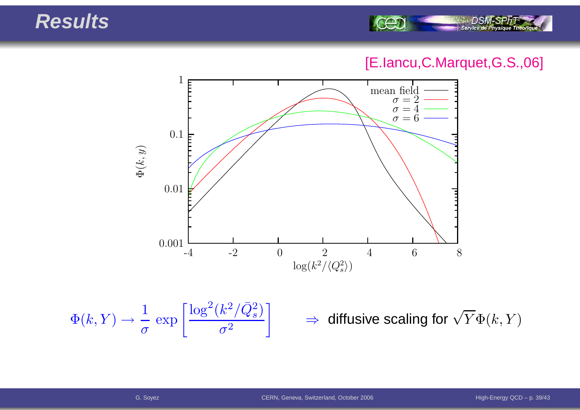#### **Results**



#### [E.Iancu,C.Marquet,G.S.,06]



$$
\Phi(k, Y) \to \frac{1}{\sigma} \exp\left[\frac{\log^2(k^2/\bar{Q}_s^2)}{\sigma^2}\right] \qquad \Rightarrow \qquad
$$

 $\Rightarrow$  diffusive scaling for  $\sqrt{Y}\Phi(k,Y)$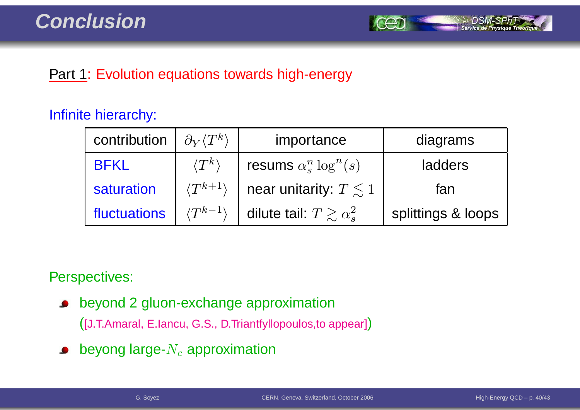

#### **Part 1: Evolution equations towards high-energy**

#### Infinite hierarchy:

| contribution | $\partial_Y \langle T^k \rangle$ | importance                          | diagrams           |
|--------------|----------------------------------|-------------------------------------|--------------------|
| <b>BFKL</b>  | $\langle T^k\rangle$             | resums $\alpha_s^n \log^n(s)$       | ladders            |
| saturation   | $\langle T^{k+1} \rangle$        | near unitarity: $T \leq 1$          | fan                |
| fluctuations | $\langle T^{k-1} \rangle$        | dilute tail: $T \gtrsim \alpha_s^2$ | splittings & loops |

Perspectives:

 $\bullet$ beyond 2 gluon-exchange approximation

([J.T.Amaral, E.Iancu, G.S., D.Triantfyllopoulos,to appear])

beyong large- $N_c$  approximation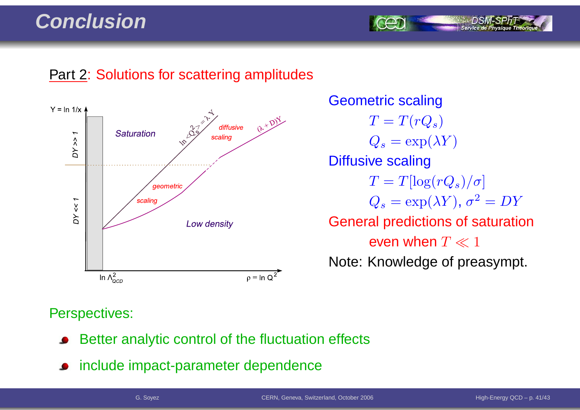### **Conclusion**

#### **Part 2: Solutions for scattering amplitudes**



Geometric scaling $T=T(rQ_s)$  $Q_s = \exp(\lambda Y)$ Diffusive scaling $T = T[\log(rQ_s)/\sigma]$  $Q_s = \exp(\lambda Y), \, \sigma^2 = DY$ General predictions of saturationeven when  $T \ll 1$ Note: Knowledge of preasympt.

#### Perspectives:

- Better analytic control of the fluctuation effects
- include impact-parameter dependence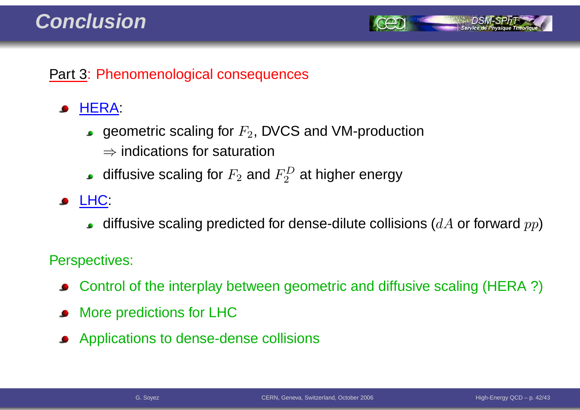#### **Conclusion**



#### Part 3: Phenomenological consequences

#### HERA:

- geometric scaling for  $F_2$ , DVCS and VM-production
	- $\Rightarrow$  indications for saturation
- diffusive scaling for  $F_2$  and  $F_2^D$  at higher energy
- **JELHC:** 
	- diffusive scaling predicted for dense-dilute collisions ( $dA$  or forward  $pp$ )

#### Perspectives:

- Control of the interplay between geometric and diffusive scaling (HERA ?)
- More predictions for LHC
- Applications to dense-dense collisions